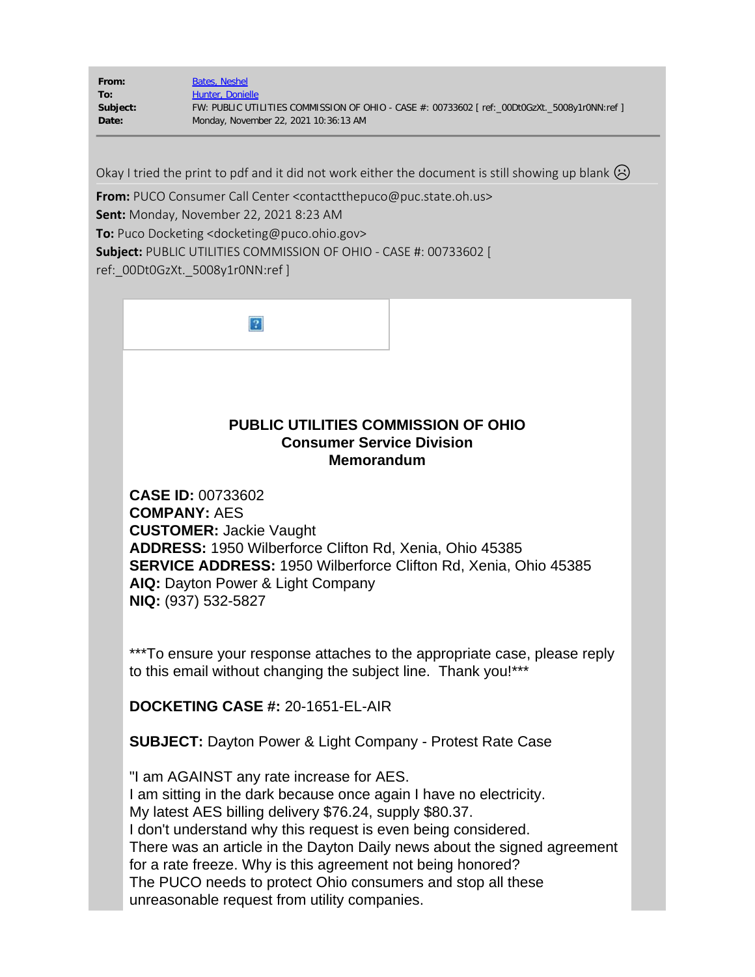| From:    | Bates, Neshel                                                                                 |
|----------|-----------------------------------------------------------------------------------------------|
| To:      | Hunter, Donielle                                                                              |
| Subject: | FW: PUBLIC UTILITIES COMMISSION OF OHIO - CASE #: 00733602 [ ref:_00Dt0GzXt._5008y1r0NN:ref ] |
| Date:    | Monday, November 22, 2021 10:36:13 AM                                                         |
|          |                                                                                               |

Okay I tried the print to pdf and it did not work either the document is still showing up blank  $\circledR$ 

**From:** PUCO Consumer Call Center <contactthepuco@puc.state.oh.us> **Sent:** Monday, November 22, 2021 8:23 AM **To:** Puco Docketing <docketing@puco.ohio.gov> **Subject:** PUBLIC UTILITIES COMMISSION OF OHIO - CASE #: 00733602 [ ref:\_00Dt0GzXt.\_5008y1r0NN:ref ]

### **PUBLIC UTILITIES COMMISSION OF OHIO Consumer Service Division Memorandum**

**CASE ID:** 00733602 **COMPANY:** AES **CUSTOMER:** Jackie Vaught **ADDRESS:** 1950 Wilberforce Clifton Rd, Xenia, Ohio 45385 **SERVICE ADDRESS:** 1950 Wilberforce Clifton Rd, Xenia, Ohio 45385 **AIQ:** Dayton Power & Light Company **NIQ:** (937) 532-5827

\*\*\*To ensure your response attaches to the appropriate case, please reply to this email without changing the subject line. Thank you!\*\*\*

**DOCKETING CASE #:** 20-1651-EL-AIR

**SUBJECT:** Dayton Power & Light Company - Protest Rate Case

"I am AGAINST any rate increase for AES. I am sitting in the dark because once again I have no electricity. My latest AES billing delivery \$76.24, supply \$80.37. I don't understand why this request is even being considered. There was an article in the Dayton Daily news about the signed agreement for a rate freeze. Why is this agreement not being honored? The PUCO needs to protect Ohio consumers and stop all these unreasonable request from utility companies.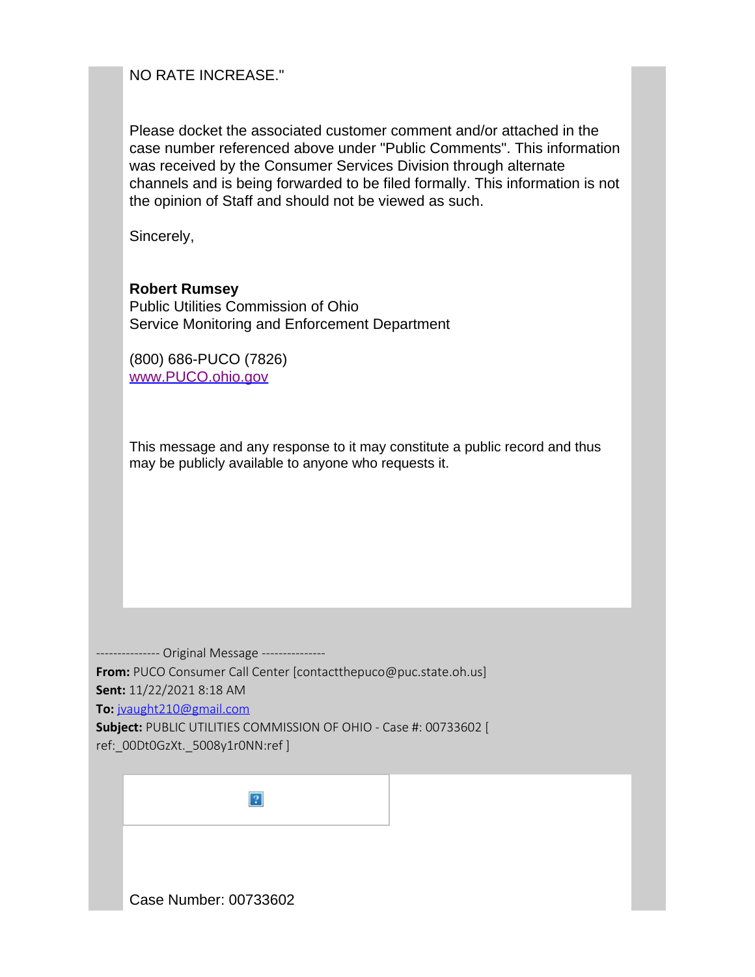NO RATE INCREASE."

Please docket the associated customer comment and/or attached in the case number referenced above under "Public Comments". This information was received by the Consumer Services Division through alternate channels and is being forwarded to be filed formally. This information is not the opinion of Staff and should not be viewed as such.

Sincerely,

**Robert Rumsey** Public Utilities Commission of Ohio Service Monitoring and Enforcement Department

(800) 686-PUCO (7826) [www.PUCO.ohio.gov](https://gcc02.safelinks.protection.outlook.com/?url=https%3A%2F%2Fwww.puco.ohio.gov%2F&data=04%7C01%7Cdonielle.hunter%40puco.ohio.gov%7Cf44676f766ed4a11322408d9adcdcfc4%7C50f8fcc494d84f0784eb36ed57c7c8a2%7C0%7C0%7C637731921723782242%7CUnknown%7CTWFpbGZsb3d8eyJWIjoiMC4wLjAwMDAiLCJQIjoiV2luMzIiLCJBTiI6Ik1haWwiLCJXVCI6Mn0%3D%7C3000&sdata=SUnoV6lDE5QdPHn6P7obeI4cAOVqXdXrEQKywf2IBJc%3D&reserved=0)

This message and any response to it may constitute a public record and thus may be publicly available to anyone who requests it.

--------------- Original Message --------------- **From:** PUCO Consumer Call Center [contactthepuco@puc.state.oh.us] **Sent:** 11/22/2021 8:18 AM **To:** [jvaught210@gmail.com](mailto:jvaught210@gmail.com) **Subject:** PUBLIC UTILITIES COMMISSION OF OHIO - Case #: 00733602 [ ref:\_00Dt0GzXt.\_5008y1r0NN:ref ]

 $|2\rangle$ Case Number: 00733602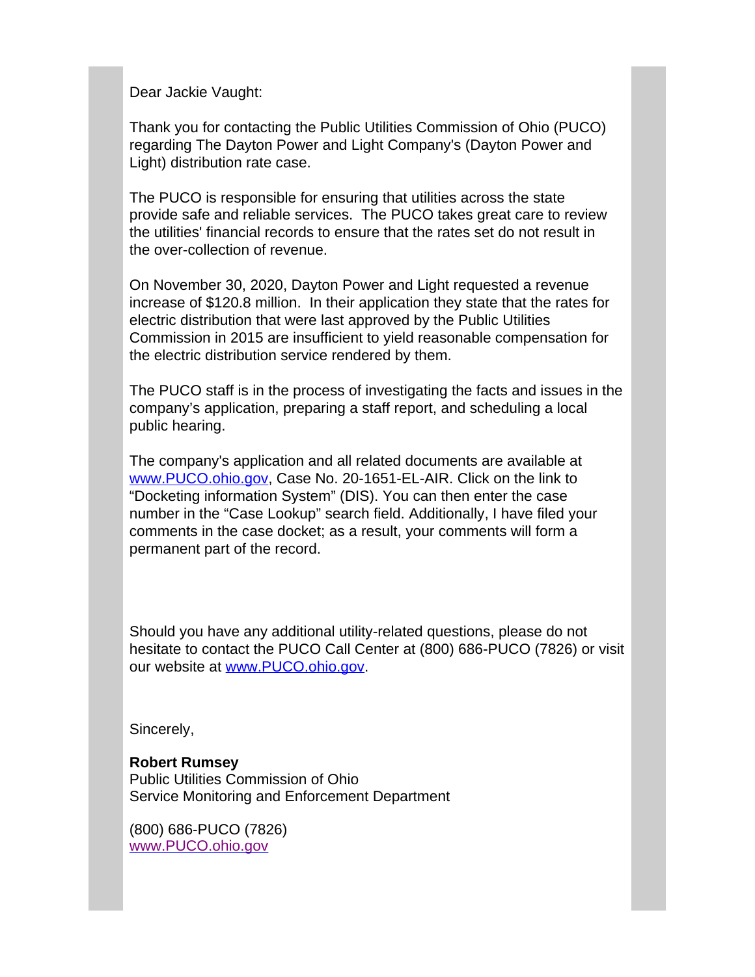Dear Jackie Vaught:

Thank you for contacting the Public Utilities Commission of Ohio (PUCO) regarding The Dayton Power and Light Company's (Dayton Power and Light) distribution rate case.

The PUCO is responsible for ensuring that utilities across the state provide safe and reliable services. The PUCO takes great care to review the utilities' financial records to ensure that the rates set do not result in the over-collection of revenue.

On November 30, 2020, Dayton Power and Light requested a revenue increase of \$120.8 million. In their application they state that the rates for electric distribution that were last approved by the Public Utilities Commission in 2015 are insufficient to yield reasonable compensation for the electric distribution service rendered by them.

The PUCO staff is in the process of investigating the facts and issues in the company's application, preparing a staff report, and scheduling a local public hearing.

The company's application and all related documents are available at [www.PUCO.ohio.gov,](http://www.puco.ohio.gov/) Case No. 20-1651-EL-AIR. Click on the link to "Docketing information System" (DIS). You can then enter the case number in the "Case Lookup" search field. Additionally, I have filed your comments in the case docket; as a result, your comments will form a permanent part of the record.

Should you have any additional utility-related questions, please do not hesitate to contact the PUCO Call Center at (800) 686-PUCO (7826) or visit our website at [www.PUCO.ohio.gov.](http://www.puco.ohio.gov/)

Sincerely,

#### **Robert Rumsey** Public Utilities Commission of Ohio Service Monitoring and Enforcement Department

(800) 686-PUCO (7826) [www.PUCO.ohio.gov](https://gcc02.safelinks.protection.outlook.com/?url=https%3A%2F%2Fwww.puco.ohio.gov%2F&data=04%7C01%7Cdonielle.hunter%40puco.ohio.gov%7Cf44676f766ed4a11322408d9adcdcfc4%7C50f8fcc494d84f0784eb36ed57c7c8a2%7C0%7C0%7C637731921723792200%7CUnknown%7CTWFpbGZsb3d8eyJWIjoiMC4wLjAwMDAiLCJQIjoiV2luMzIiLCJBTiI6Ik1haWwiLCJXVCI6Mn0%3D%7C3000&sdata=x0GDDtjgZ%2BNRyUy8dZSok6CYIRBDEwMmarlvayo6W20%3D&reserved=0)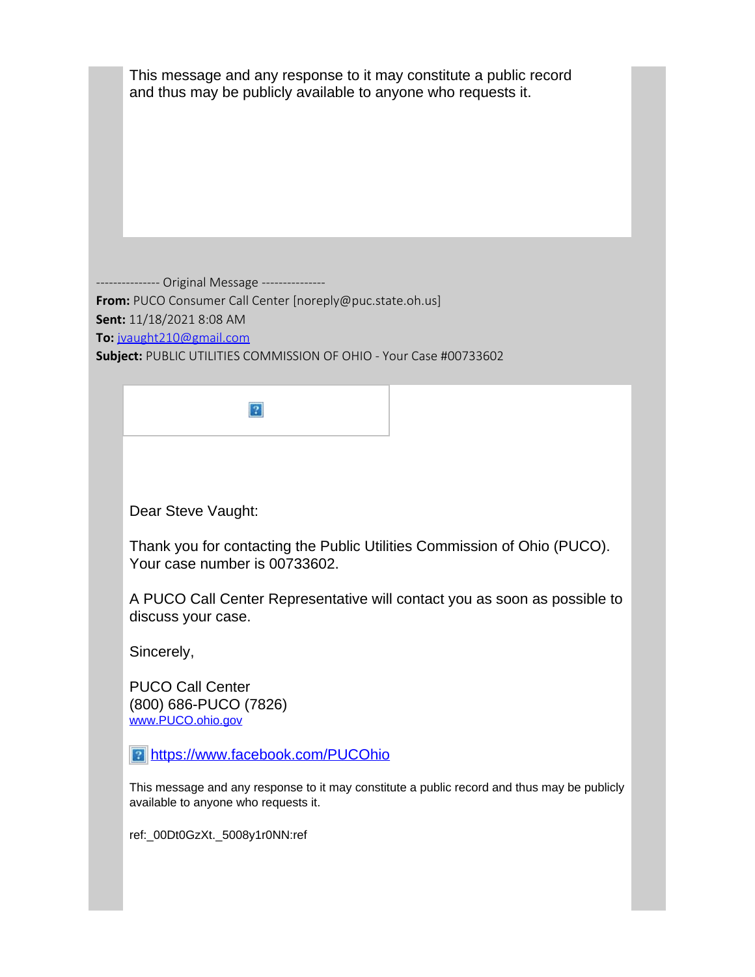| This message and any response to it may constitute a public record<br>and thus may be publicly available to anyone who requests it.                                                                                                    |  |
|----------------------------------------------------------------------------------------------------------------------------------------------------------------------------------------------------------------------------------------|--|
| ---------- Original Message ---------------<br>From: PUCO Consumer Call Center [noreply@puc.state.oh.us]<br>Sent: 11/18/2021 8:08 AM<br>To: jyaught210@gmail.com<br>Subject: PUBLIC UTILITIES COMMISSION OF OHIO - Your Case #00733602 |  |
|                                                                                                                                                                                                                                        |  |
| Dear Steve Vaught:                                                                                                                                                                                                                     |  |
| Thank you for contacting the Public Utilities Commission of Ohio (PUCO).<br>Your case number is 00733602.                                                                                                                              |  |
| A PUCO Call Center Representative will contact you as soon as possible to<br>discuss your case.                                                                                                                                        |  |
| Sincerely,                                                                                                                                                                                                                             |  |
| <b>PUCO Call Center</b><br>(800) 686-PUCO (7826)<br>www.PUCO.ohio.gov                                                                                                                                                                  |  |
| <b>2 https://www.facebook.com/PUCOhio</b>                                                                                                                                                                                              |  |
| This message and any response to it may constitute a public record and thus may be publicly<br>available to anyone who requests it.                                                                                                    |  |
| ref:_00Dt0GzXt._5008y1r0NN:ref                                                                                                                                                                                                         |  |
|                                                                                                                                                                                                                                        |  |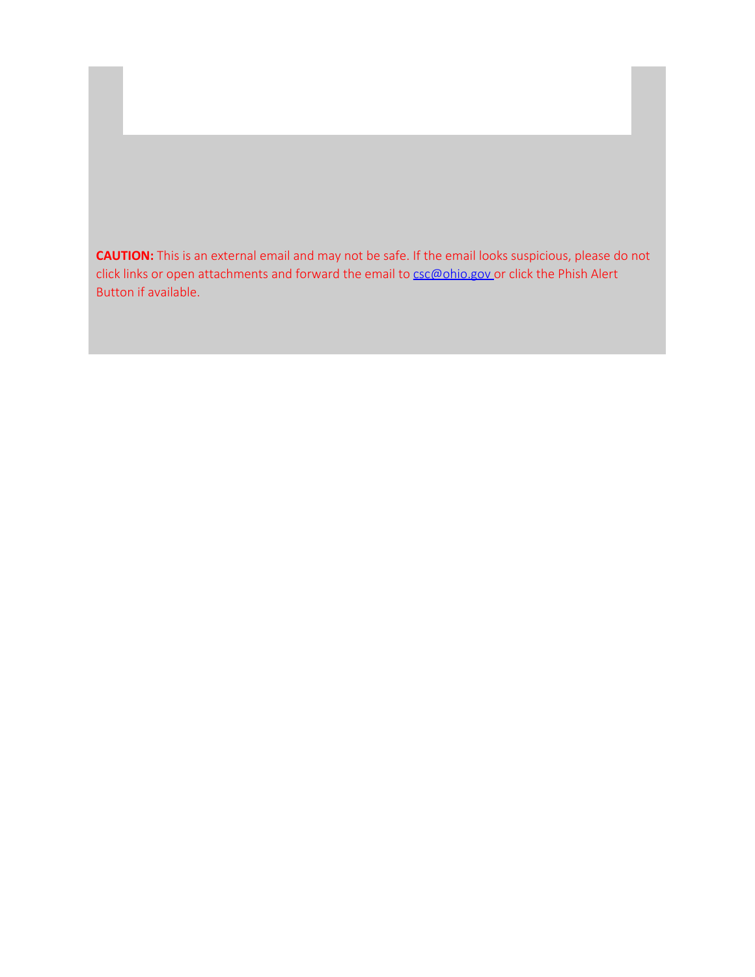**CAUTION:** This is an external email and may not be safe. If the email looks suspicious, please do not click links or open attachments and forward the email to **[csc@ohio.gov](mailto:csc@ohio.gov)** or click the Phish Alert Button if available.